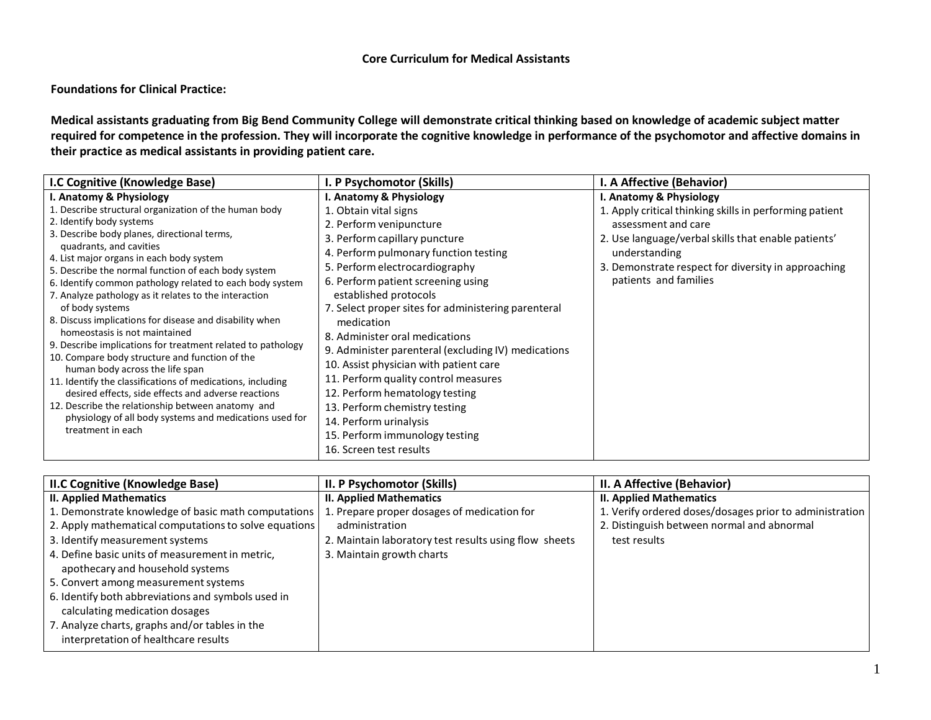## **Core Curriculum for Medical Assistants**

**Foundations for Clinical Practice:**

**Medical assistants graduating from Big Bend Community College will demonstrate critical thinking based on knowledge of academic subject matter required for competence in the profession. They will incorporate the cognitive knowledge in performance of the psychomotor and affective domains in their practice as medical assistants in providing patient care.**

| I.C Cognitive (Knowledge Base)                                                                  | I. P Psychomotor (Skills)                           | I. A Affective (Behavior)                               |
|-------------------------------------------------------------------------------------------------|-----------------------------------------------------|---------------------------------------------------------|
| I. Anatomy & Physiology                                                                         | I. Anatomy & Physiology                             | I. Anatomy & Physiology                                 |
| 1. Describe structural organization of the human body                                           | 1. Obtain vital signs                               | 1. Apply critical thinking skills in performing patient |
| 2. Identify body systems                                                                        | 2. Perform venipuncture                             | assessment and care                                     |
| 3. Describe body planes, directional terms,                                                     | 3. Perform capillary puncture                       | 2. Use language/verbal skills that enable patients'     |
| quadrants, and cavities                                                                         | 4. Perform pulmonary function testing               | understanding                                           |
| 4. List major organs in each body system<br>5. Describe the normal function of each body system | 5. Perform electrocardiography                      | 3. Demonstrate respect for diversity in approaching     |
| 6. Identify common pathology related to each body system                                        | 6. Perform patient screening using                  | patients and families                                   |
| 7. Analyze pathology as it relates to the interaction                                           | established protocols                               |                                                         |
| of body systems                                                                                 | 7. Select proper sites for administering parenteral |                                                         |
| 8. Discuss implications for disease and disability when                                         | medication                                          |                                                         |
| homeostasis is not maintained                                                                   | 8. Administer oral medications                      |                                                         |
| 9. Describe implications for treatment related to pathology                                     | 9. Administer parenteral (excluding IV) medications |                                                         |
| 10. Compare body structure and function of the                                                  | 10. Assist physician with patient care              |                                                         |
| human body across the life span<br>11. Identify the classifications of medications, including   | 11. Perform quality control measures                |                                                         |
| desired effects, side effects and adverse reactions                                             | 12. Perform hematology testing                      |                                                         |
| 12. Describe the relationship between anatomy and                                               | 13. Perform chemistry testing                       |                                                         |
| physiology of all body systems and medications used for                                         | 14. Perform urinalysis                              |                                                         |
| treatment in each                                                                               | 15. Perform immunology testing                      |                                                         |
|                                                                                                 | 16. Screen test results                             |                                                         |

| <b>II.C Cognitive (Knowledge Base)</b>                | II. P Psychomotor (Skills)                            | II. A Affective (Behavior)                              |
|-------------------------------------------------------|-------------------------------------------------------|---------------------------------------------------------|
| <b>II. Applied Mathematics</b>                        | <b>II. Applied Mathematics</b>                        | <b>II. Applied Mathematics</b>                          |
| 1. Demonstrate knowledge of basic math computations   | 1. Prepare proper dosages of medication for           | 1. Verify ordered doses/dosages prior to administration |
| 2. Apply mathematical computations to solve equations | administration                                        | 2. Distinguish between normal and abnormal              |
| 3. Identify measurement systems                       | 2. Maintain laboratory test results using flow sheets | test results                                            |
| 4. Define basic units of measurement in metric,       | 3. Maintain growth charts                             |                                                         |
| apothecary and household systems                      |                                                       |                                                         |
| 5. Convert among measurement systems                  |                                                       |                                                         |
| 6. Identify both abbreviations and symbols used in    |                                                       |                                                         |
| calculating medication dosages                        |                                                       |                                                         |
| 7. Analyze charts, graphs and/or tables in the        |                                                       |                                                         |
| interpretation of healthcare results                  |                                                       |                                                         |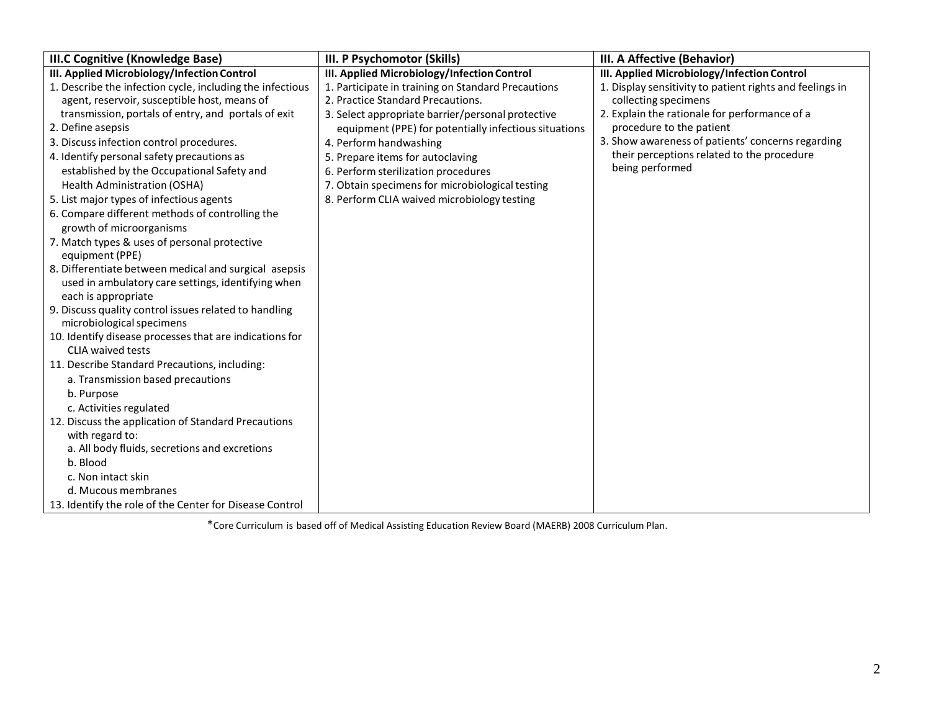| <b>III.C Cognitive (Knowledge Base)</b>                   | III. P Psychomotor (Skills)                           | III. A Affective (Behavior)                              |
|-----------------------------------------------------------|-------------------------------------------------------|----------------------------------------------------------|
| III. Applied Microbiology/Infection Control               | III. Applied Microbiology/Infection Control           | III. Applied Microbiology/Infection Control              |
| 1. Describe the infection cycle, including the infectious | 1. Participate in training on Standard Precautions    | 1. Display sensitivity to patient rights and feelings in |
| agent, reservoir, susceptible host, means of              | 2. Practice Standard Precautions.                     | collecting specimens                                     |
| transmission, portals of entry, and portals of exit       | 3. Select appropriate barrier/personal protective     | 2. Explain the rationale for performance of a            |
| 2. Define asepsis                                         | equipment (PPE) for potentially infectious situations | procedure to the patient                                 |
| 3. Discuss infection control procedures.                  | 4. Perform handwashing                                | 3. Show awareness of patients' concerns regarding        |
| 4. Identify personal safety precautions as                | 5. Prepare items for autoclaving                      | their perceptions related to the procedure               |
| established by the Occupational Safety and                | 6. Perform sterilization procedures                   | being performed                                          |
| Health Administration (OSHA)                              | 7. Obtain specimens for microbiological testing       |                                                          |
| 5. List major types of infectious agents                  | 8. Perform CLIA waived microbiology testing           |                                                          |
| 6. Compare different methods of controlling the           |                                                       |                                                          |
| growth of microorganisms                                  |                                                       |                                                          |
| 7. Match types & uses of personal protective              |                                                       |                                                          |
| equipment (PPE)                                           |                                                       |                                                          |
| 8. Differentiate between medical and surgical asepsis     |                                                       |                                                          |
| used in ambulatory care settings, identifying when        |                                                       |                                                          |
| each is appropriate                                       |                                                       |                                                          |
| 9. Discuss quality control issues related to handling     |                                                       |                                                          |
| microbiological specimens                                 |                                                       |                                                          |
| 10. Identify disease processes that are indications for   |                                                       |                                                          |
| <b>CLIA waived tests</b>                                  |                                                       |                                                          |
| 11. Describe Standard Precautions, including:             |                                                       |                                                          |
| a. Transmission based precautions                         |                                                       |                                                          |
| b. Purpose                                                |                                                       |                                                          |
| c. Activities regulated                                   |                                                       |                                                          |
| 12. Discuss the application of Standard Precautions       |                                                       |                                                          |
| with regard to:                                           |                                                       |                                                          |
| a. All body fluids, secretions and excretions             |                                                       |                                                          |
| b. Blood                                                  |                                                       |                                                          |
| c. Non intact skin                                        |                                                       |                                                          |
| d. Mucous membranes                                       |                                                       |                                                          |
| 13. Identify the role of the Center for Disease Control   |                                                       |                                                          |

\*Core Curriculum is based off of Medical Assisting Education Review Board (MAERB) 2008 Curriculum Plan.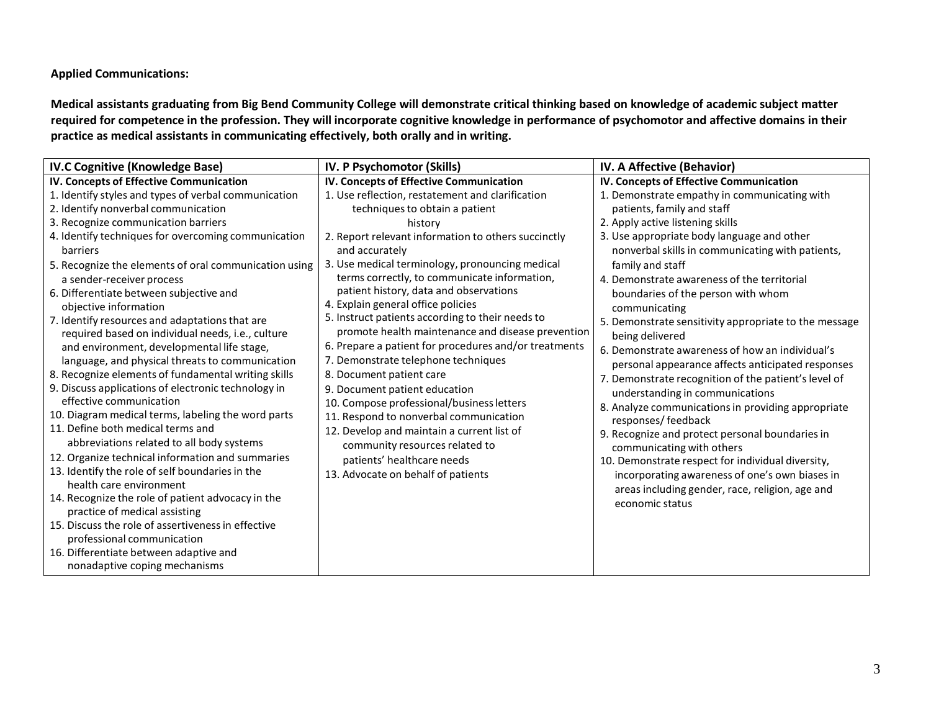## **Applied Communications:**

**Medical assistants graduating from Big Bend Community College will demonstrate critical thinking based on knowledge of academic subject matter required for competence in the profession. They will incorporate cognitive knowledge in performance of psychomotor and affective domains in their practice as medical assistants in communicating effectively, both orally and in writing.**

| <b>IV.C Cognitive (Knowledge Base)</b>                                                        | IV. P Psychomotor (Skills)                                                                      | IV. A Affective (Behavior)                                         |
|-----------------------------------------------------------------------------------------------|-------------------------------------------------------------------------------------------------|--------------------------------------------------------------------|
| IV. Concepts of Effective Communication                                                       | IV. Concepts of Effective Communication                                                         | IV. Concepts of Effective Communication                            |
| 1. Identify styles and types of verbal communication                                          | 1. Use reflection, restatement and clarification                                                | 1. Demonstrate empathy in communicating with                       |
| 2. Identify nonverbal communication                                                           | techniques to obtain a patient                                                                  | patients, family and staff                                         |
| 3. Recognize communication barriers                                                           | history                                                                                         | 2. Apply active listening skills                                   |
| 4. Identify techniques for overcoming communication                                           | 2. Report relevant information to others succinctly                                             | 3. Use appropriate body language and other                         |
| barriers                                                                                      | and accurately                                                                                  | nonverbal skills in communicating with patients,                   |
| 5. Recognize the elements of oral communication using                                         | 3. Use medical terminology, pronouncing medical<br>terms correctly, to communicate information, | family and staff<br>4. Demonstrate awareness of the territorial    |
| a sender-receiver process                                                                     | patient history, data and observations                                                          |                                                                    |
| 6. Differentiate between subjective and<br>objective information                              | 4. Explain general office policies                                                              | boundaries of the person with whom<br>communicating                |
| 7. Identify resources and adaptations that are                                                | 5. Instruct patients according to their needs to                                                | 5. Demonstrate sensitivity appropriate to the message              |
| required based on individual needs, i.e., culture                                             | promote health maintenance and disease prevention                                               | being delivered                                                    |
| and environment, developmental life stage,                                                    | 6. Prepare a patient for procedures and/or treatments                                           | 6. Demonstrate awareness of how an individual's                    |
| language, and physical threats to communication                                               | 7. Demonstrate telephone techniques                                                             | personal appearance affects anticipated responses                  |
| 8. Recognize elements of fundamental writing skills                                           | 8. Document patient care                                                                        | 7. Demonstrate recognition of the patient's level of               |
| 9. Discuss applications of electronic technology in                                           | 9. Document patient education                                                                   | understanding in communications                                    |
| effective communication                                                                       | 10. Compose professional/business letters                                                       | 8. Analyze communications in providing appropriate                 |
| 10. Diagram medical terms, labeling the word parts<br>11. Define both medical terms and       | 11. Respond to nonverbal communication                                                          | responses/ feedback                                                |
|                                                                                               | 12. Develop and maintain a current list of                                                      | 9. Recognize and protect personal boundaries in                    |
| abbreviations related to all body systems<br>12. Organize technical information and summaries | community resources related to                                                                  | communicating with others                                          |
| 13. Identify the role of self boundaries in the                                               | patients' healthcare needs                                                                      | 10. Demonstrate respect for individual diversity,                  |
| health care environment                                                                       | 13. Advocate on behalf of patients                                                              | incorporating awareness of one's own biases in                     |
| 14. Recognize the role of patient advocacy in the                                             |                                                                                                 | areas including gender, race, religion, age and<br>economic status |
| practice of medical assisting                                                                 |                                                                                                 |                                                                    |
| 15. Discuss the role of assertiveness in effective                                            |                                                                                                 |                                                                    |
| professional communication                                                                    |                                                                                                 |                                                                    |
| 16. Differentiate between adaptive and                                                        |                                                                                                 |                                                                    |
| nonadaptive coping mechanisms                                                                 |                                                                                                 |                                                                    |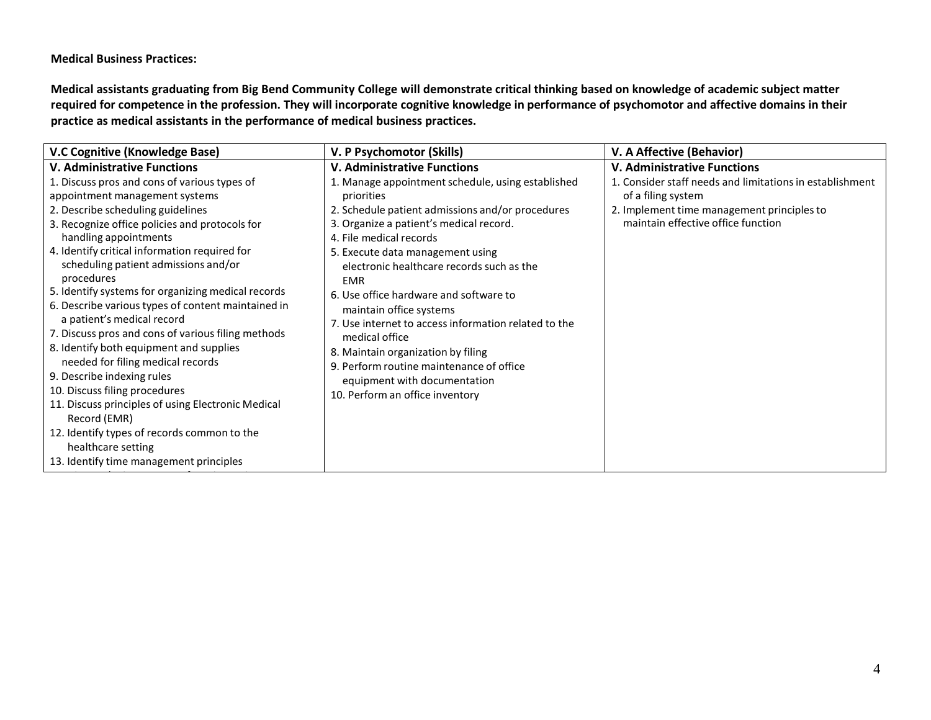**Medical Business Practices:**

**Medical assistants graduating from Big Bend Community College will demonstrate critical thinking based on knowledge of academic subject matter required for competence in the profession. They will incorporate cognitive knowledge in performance of psychomotor and affective domains in their practice as medical assistants in the performance of medical business practices.**

| V.C Cognitive (Knowledge Base)                     | V. P Psychomotor (Skills)                            | V. A Affective (Behavior)                                |
|----------------------------------------------------|------------------------------------------------------|----------------------------------------------------------|
| <b>V. Administrative Functions</b>                 | <b>V. Administrative Functions</b>                   | <b>V. Administrative Functions</b>                       |
| 1. Discuss pros and cons of various types of       | 1. Manage appointment schedule, using established    | 1. Consider staff needs and limitations in establishment |
| appointment management systems                     | priorities                                           | of a filing system                                       |
| 2. Describe scheduling guidelines                  | 2. Schedule patient admissions and/or procedures     | 2. Implement time management principles to               |
| 3. Recognize office policies and protocols for     | 3. Organize a patient's medical record.              | maintain effective office function                       |
| handling appointments                              | 4. File medical records                              |                                                          |
| 4. Identify critical information required for      | 5. Execute data management using                     |                                                          |
| scheduling patient admissions and/or               | electronic healthcare records such as the            |                                                          |
| procedures                                         | <b>EMR</b>                                           |                                                          |
| 5. Identify systems for organizing medical records | 6. Use office hardware and software to               |                                                          |
| 6. Describe various types of content maintained in | maintain office systems                              |                                                          |
| a patient's medical record                         | 7. Use internet to access information related to the |                                                          |
| 7. Discuss pros and cons of various filing methods | medical office                                       |                                                          |
| 8. Identify both equipment and supplies            | 8. Maintain organization by filing                   |                                                          |
| needed for filing medical records                  | 9. Perform routine maintenance of office             |                                                          |
| 9. Describe indexing rules                         | equipment with documentation                         |                                                          |
| 10. Discuss filing procedures                      | 10. Perform an office inventory                      |                                                          |
| 11. Discuss principles of using Electronic Medical |                                                      |                                                          |
| Record (EMR)                                       |                                                      |                                                          |
| 12. Identify types of records common to the        |                                                      |                                                          |
| healthcare setting                                 |                                                      |                                                          |
| 13. Identify time management principles            |                                                      |                                                          |
|                                                    |                                                      |                                                          |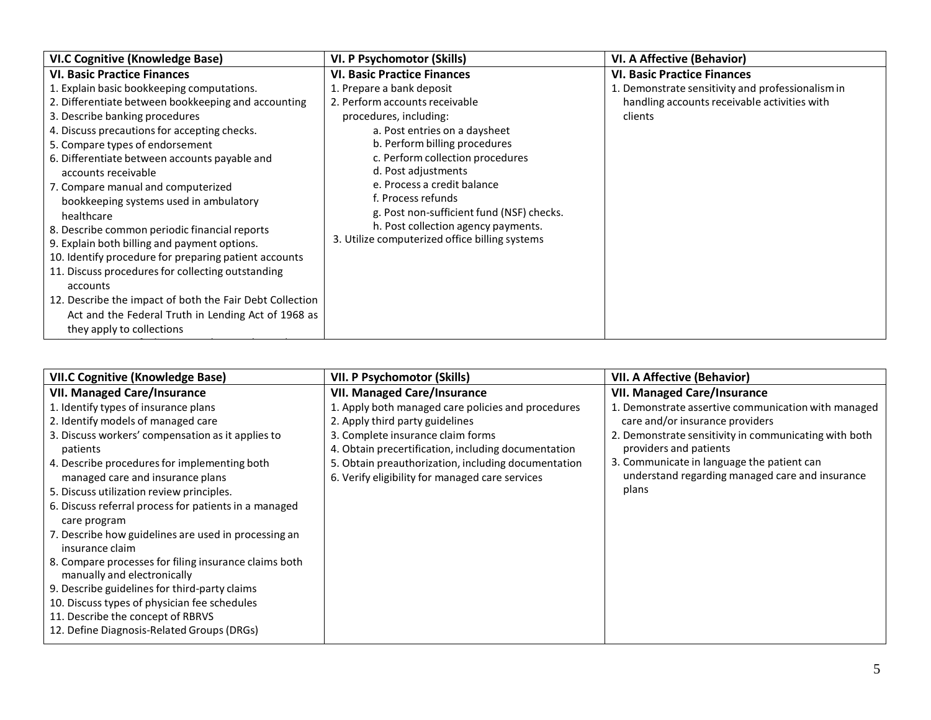| <b>VI.C Cognitive (Knowledge Base)</b>                                                                                                                                                                                                                                                                                                                                                                                                                                                                                                                                                                                                                                                                                    | VI. P Psychomotor (Skills)                                                                                                                                                                                                                                                                                                                                                       | VI. A Affective (Behavior)                              |
|---------------------------------------------------------------------------------------------------------------------------------------------------------------------------------------------------------------------------------------------------------------------------------------------------------------------------------------------------------------------------------------------------------------------------------------------------------------------------------------------------------------------------------------------------------------------------------------------------------------------------------------------------------------------------------------------------------------------------|----------------------------------------------------------------------------------------------------------------------------------------------------------------------------------------------------------------------------------------------------------------------------------------------------------------------------------------------------------------------------------|---------------------------------------------------------|
| <b>VI. Basic Practice Finances</b>                                                                                                                                                                                                                                                                                                                                                                                                                                                                                                                                                                                                                                                                                        | <b>VI. Basic Practice Finances</b>                                                                                                                                                                                                                                                                                                                                               | <b>VI. Basic Practice Finances</b>                      |
| 1. Explain basic bookkeeping computations.                                                                                                                                                                                                                                                                                                                                                                                                                                                                                                                                                                                                                                                                                | 1. Prepare a bank deposit                                                                                                                                                                                                                                                                                                                                                        | 1. Demonstrate sensitivity and professionalism in       |
| 2. Differentiate between bookkeeping and accounting<br>3. Describe banking procedures<br>4. Discuss precautions for accepting checks.<br>5. Compare types of endorsement<br>6. Differentiate between accounts payable and<br>accounts receivable<br>7. Compare manual and computerized<br>bookkeeping systems used in ambulatory<br>healthcare<br>8. Describe common periodic financial reports<br>9. Explain both billing and payment options.<br>10. Identify procedure for preparing patient accounts<br>11. Discuss procedures for collecting outstanding<br>accounts<br>12. Describe the impact of both the Fair Debt Collection<br>Act and the Federal Truth in Lending Act of 1968 as<br>they apply to collections | 2. Perform accounts receivable<br>procedures, including:<br>a. Post entries on a daysheet<br>b. Perform billing procedures<br>c. Perform collection procedures<br>d. Post adjustments<br>e. Process a credit balance<br>f. Process refunds<br>g. Post non-sufficient fund (NSF) checks.<br>h. Post collection agency payments.<br>3. Utilize computerized office billing systems | handling accounts receivable activities with<br>clients |

| <b>VII.C Cognitive (Knowledge Base)</b>                                              | VII. P Psychomotor (Skills)                         | <b>VII. A Affective (Behavior)</b>                    |
|--------------------------------------------------------------------------------------|-----------------------------------------------------|-------------------------------------------------------|
| <b>VII. Managed Care/Insurance</b>                                                   | <b>VII. Managed Care/Insurance</b>                  | <b>VII. Managed Care/Insurance</b>                    |
| 1. Identify types of insurance plans                                                 | 1. Apply both managed care policies and procedures  | 1. Demonstrate assertive communication with managed   |
| 2. Identify models of managed care                                                   | 2. Apply third party guidelines                     | care and/or insurance providers                       |
| 3. Discuss workers' compensation as it applies to                                    | 3. Complete insurance claim forms                   | 2. Demonstrate sensitivity in communicating with both |
| patients                                                                             | 4. Obtain precertification, including documentation | providers and patients                                |
| 4. Describe procedures for implementing both                                         | 5. Obtain preauthorization, including documentation | 3. Communicate in language the patient can            |
| managed care and insurance plans                                                     | 6. Verify eligibility for managed care services     | understand regarding managed care and insurance       |
| 5. Discuss utilization review principles.                                            |                                                     | plans                                                 |
| 6. Discuss referral process for patients in a managed                                |                                                     |                                                       |
| care program                                                                         |                                                     |                                                       |
| 7. Describe how guidelines are used in processing an<br>insurance claim              |                                                     |                                                       |
| 8. Compare processes for filing insurance claims both<br>manually and electronically |                                                     |                                                       |
| 9. Describe guidelines for third-party claims                                        |                                                     |                                                       |
| 10. Discuss types of physician fee schedules                                         |                                                     |                                                       |
| 11. Describe the concept of RBRVS                                                    |                                                     |                                                       |
| 12. Define Diagnosis-Related Groups (DRGs)                                           |                                                     |                                                       |
|                                                                                      |                                                     |                                                       |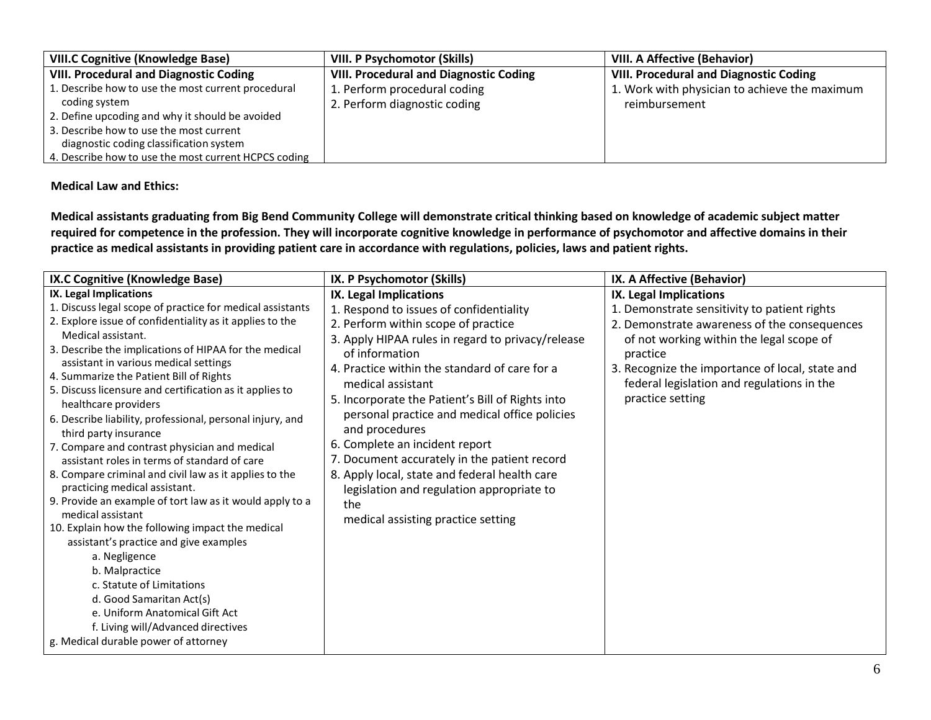| <b>VIII.C Cognitive (Knowledge Base)</b>             | <b>VIII. P Psychomotor (Skills)</b>           | VIII. A Affective (Behavior)                  |
|------------------------------------------------------|-----------------------------------------------|-----------------------------------------------|
| <b>VIII. Procedural and Diagnostic Coding</b>        | <b>VIII. Procedural and Diagnostic Coding</b> | <b>VIII. Procedural and Diagnostic Coding</b> |
| 1. Describe how to use the most current procedural   | 1. Perform procedural coding                  | 1. Work with physician to achieve the maximum |
| coding system                                        | 2. Perform diagnostic coding                  | reimbursement                                 |
| 2. Define upcoding and why it should be avoided      |                                               |                                               |
| 3. Describe how to use the most current              |                                               |                                               |
| diagnostic coding classification system              |                                               |                                               |
| 4. Describe how to use the most current HCPCS coding |                                               |                                               |

## **Medical Law and Ethics:**

**Medical assistants graduating from Big Bend Community College will demonstrate critical thinking based on knowledge of academic subject matter required for competence in the profession. They will incorporate cognitive knowledge in performance of psychomotor and affective domains in their practice as medical assistants in providing patient care in accordance with regulations, policies, laws and patient rights.**

| IX.C Cognitive (Knowledge Base)                                                                                                                                                                                                                                                                                                                                                                                                                                                                                                                                                                                                                                                                                                                                                                                                                                                                                                                                                                                                                                                    | IX. P Psychomotor (Skills)                                                                                                                                                                                                                                                                                                                                                                                                                                                                                                                                                                                | IX. A Affective (Behavior)                                                                                                                                                                                                                                                                          |
|------------------------------------------------------------------------------------------------------------------------------------------------------------------------------------------------------------------------------------------------------------------------------------------------------------------------------------------------------------------------------------------------------------------------------------------------------------------------------------------------------------------------------------------------------------------------------------------------------------------------------------------------------------------------------------------------------------------------------------------------------------------------------------------------------------------------------------------------------------------------------------------------------------------------------------------------------------------------------------------------------------------------------------------------------------------------------------|-----------------------------------------------------------------------------------------------------------------------------------------------------------------------------------------------------------------------------------------------------------------------------------------------------------------------------------------------------------------------------------------------------------------------------------------------------------------------------------------------------------------------------------------------------------------------------------------------------------|-----------------------------------------------------------------------------------------------------------------------------------------------------------------------------------------------------------------------------------------------------------------------------------------------------|
| IX. Legal Implications<br>1. Discuss legal scope of practice for medical assistants<br>2. Explore issue of confidentiality as it applies to the<br>Medical assistant.<br>3. Describe the implications of HIPAA for the medical<br>assistant in various medical settings<br>4. Summarize the Patient Bill of Rights<br>5. Discuss licensure and certification as it applies to<br>healthcare providers<br>6. Describe liability, professional, personal injury, and<br>third party insurance<br>7. Compare and contrast physician and medical<br>assistant roles in terms of standard of care<br>8. Compare criminal and civil law as it applies to the<br>practicing medical assistant.<br>9. Provide an example of tort law as it would apply to a<br>medical assistant<br>10. Explain how the following impact the medical<br>assistant's practice and give examples<br>a. Negligence<br>b. Malpractice<br>c. Statute of Limitations<br>d. Good Samaritan Act(s)<br>e. Uniform Anatomical Gift Act<br>f. Living will/Advanced directives<br>g. Medical durable power of attorney | IX. Legal Implications<br>1. Respond to issues of confidentiality<br>2. Perform within scope of practice<br>3. Apply HIPAA rules in regard to privacy/release<br>of information<br>4. Practice within the standard of care for a<br>medical assistant<br>5. Incorporate the Patient's Bill of Rights into<br>personal practice and medical office policies<br>and procedures<br>6. Complete an incident report<br>7. Document accurately in the patient record<br>8. Apply local, state and federal health care<br>legislation and regulation appropriate to<br>the<br>medical assisting practice setting | IX. Legal Implications<br>1. Demonstrate sensitivity to patient rights<br>2. Demonstrate awareness of the consequences<br>of not working within the legal scope of<br>practice<br>3. Recognize the importance of local, state and<br>federal legislation and regulations in the<br>practice setting |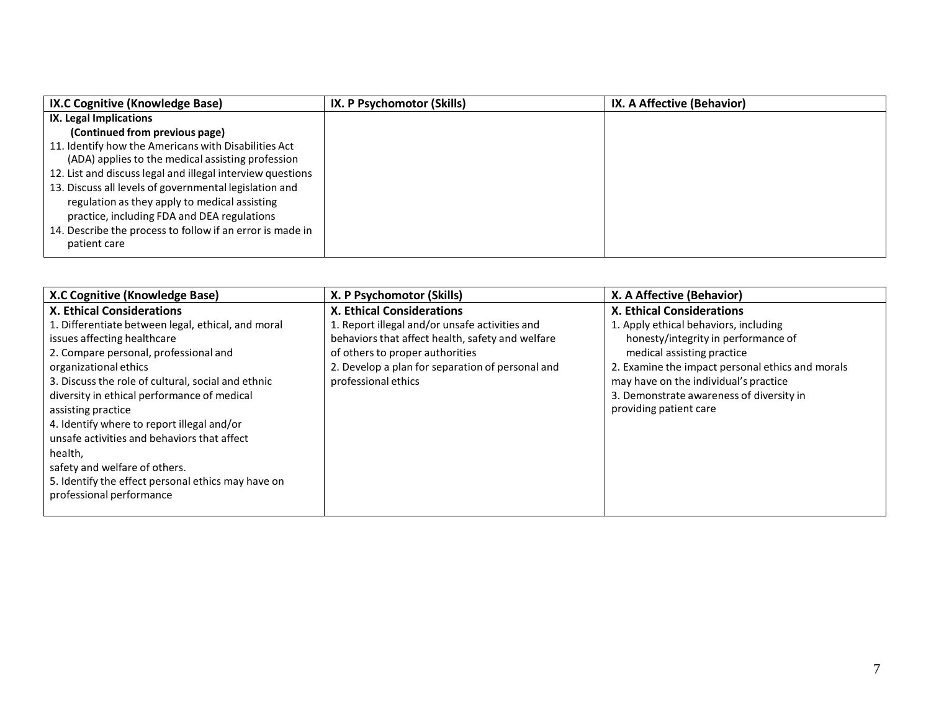| IX.C Cognitive (Knowledge Base)                            | IX. P Psychomotor (Skills) | IX. A Affective (Behavior) |
|------------------------------------------------------------|----------------------------|----------------------------|
| IX. Legal Implications                                     |                            |                            |
| (Continued from previous page)                             |                            |                            |
| 11. Identify how the Americans with Disabilities Act       |                            |                            |
| (ADA) applies to the medical assisting profession          |                            |                            |
| 12. List and discuss legal and illegal interview questions |                            |                            |
| 13. Discuss all levels of governmental legislation and     |                            |                            |
| regulation as they apply to medical assisting              |                            |                            |
| practice, including FDA and DEA regulations                |                            |                            |
| 14. Describe the process to follow if an error is made in  |                            |                            |
| patient care                                               |                            |                            |
|                                                            |                            |                            |

| X.C Cognitive (Knowledge Base)                     | X. P Psychomotor (Skills)                        | X. A Affective (Behavior)                        |
|----------------------------------------------------|--------------------------------------------------|--------------------------------------------------|
| <b>X. Ethical Considerations</b>                   | <b>X. Ethical Considerations</b>                 | <b>X. Ethical Considerations</b>                 |
| 1. Differentiate between legal, ethical, and moral | 1. Report illegal and/or unsafe activities and   | 1. Apply ethical behaviors, including            |
| issues affecting healthcare                        | behaviors that affect health, safety and welfare | honesty/integrity in performance of              |
| 2. Compare personal, professional and              | of others to proper authorities                  | medical assisting practice                       |
| organizational ethics                              | 2. Develop a plan for separation of personal and | 2. Examine the impact personal ethics and morals |
| 3. Discuss the role of cultural, social and ethnic | professional ethics                              | may have on the individual's practice            |
| diversity in ethical performance of medical        |                                                  | 3. Demonstrate awareness of diversity in         |
| assisting practice                                 |                                                  | providing patient care                           |
| 4. Identify where to report illegal and/or         |                                                  |                                                  |
| unsafe activities and behaviors that affect        |                                                  |                                                  |
| health,                                            |                                                  |                                                  |
| safety and welfare of others.                      |                                                  |                                                  |
| 5. Identify the effect personal ethics may have on |                                                  |                                                  |
| professional performance                           |                                                  |                                                  |
|                                                    |                                                  |                                                  |